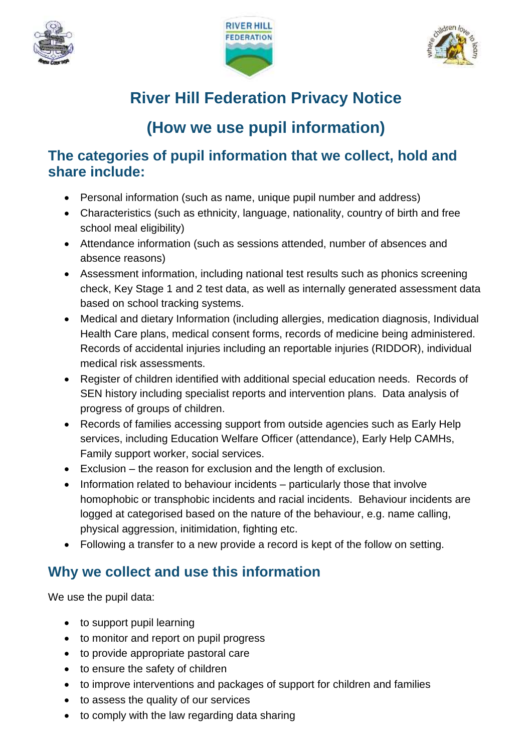





# **River Hill Federation Privacy Notice**

# **(How we use pupil information)**

#### **The categories of pupil information that we collect, hold and share include:**

- Personal information (such as name, unique pupil number and address)
- Characteristics (such as ethnicity, language, nationality, country of birth and free school meal eligibility)
- Attendance information (such as sessions attended, number of absences and absence reasons)
- Assessment information, including national test results such as phonics screening check, Key Stage 1 and 2 test data, as well as internally generated assessment data based on school tracking systems.
- Medical and dietary Information (including allergies, medication diagnosis, Individual Health Care plans, medical consent forms, records of medicine being administered. Records of accidental injuries including an reportable injuries (RIDDOR), individual medical risk assessments.
- Register of children identified with additional special education needs. Records of SEN history including specialist reports and intervention plans. Data analysis of progress of groups of children.
- Records of families accessing support from outside agencies such as Early Help services, including Education Welfare Officer (attendance), Early Help CAMHs, Family support worker, social services.
- Exclusion the reason for exclusion and the length of exclusion.
- Information related to behaviour incidents particularly those that involve homophobic or transphobic incidents and racial incidents. Behaviour incidents are logged at categorised based on the nature of the behaviour, e.g. name calling, physical aggression, initimidation, fighting etc.
- Following a transfer to a new provide a record is kept of the follow on setting.

## **Why we collect and use this information**

We use the pupil data:

- to support pupil learning
- to monitor and report on pupil progress
- to provide appropriate pastoral care
- to ensure the safety of children
- to improve interventions and packages of support for children and families
- to assess the quality of our services
- to comply with the law regarding data sharing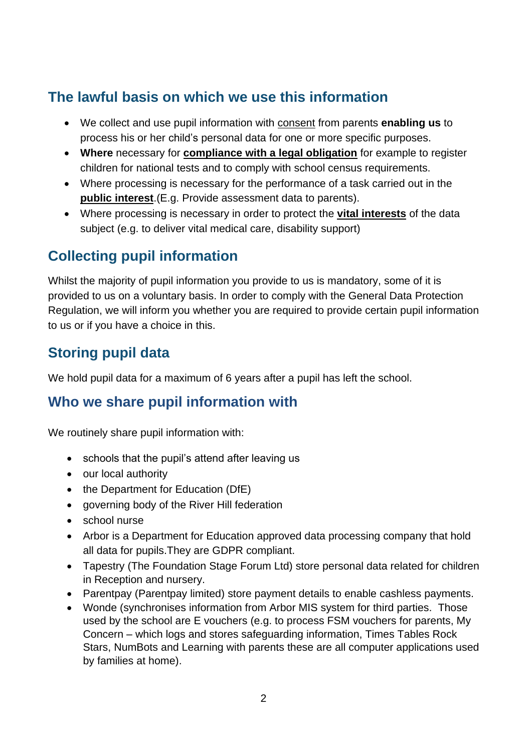### **The lawful basis on which we use this information**

- We collect and use pupil information with consent from parents **enabling us** to process his or her child's personal data for one or more specific purposes.
- **Where** necessary for **compliance with a legal obligation** for example to register children for national tests and to comply with school census requirements.
- Where processing is necessary for the performance of a task carried out in the **public interest**.(E.g. Provide assessment data to parents).
- Where processing is necessary in order to protect the **vital interests** of the data subject (e.g. to deliver vital medical care, disability support)

## **Collecting pupil information**

Whilst the majority of pupil information you provide to us is mandatory, some of it is provided to us on a voluntary basis. In order to comply with the General Data Protection Regulation, we will inform you whether you are required to provide certain pupil information to us or if you have a choice in this.

## **Storing pupil data**

We hold pupil data for a maximum of 6 years after a pupil has left the school.

### **Who we share pupil information with**

We routinely share pupil information with:

- schools that the pupil's attend after leaving us
- our local authority
- the Department for Education (DfE)
- governing body of the River Hill federation
- school nurse
- Arbor is a Department for Education approved data processing company that hold all data for pupils.They are GDPR compliant.
- Tapestry (The Foundation Stage Forum Ltd) store personal data related for children in Reception and nursery.
- Parentpay (Parentpay limited) store payment details to enable cashless payments.
- Wonde (synchronises information from Arbor MIS system for third parties. Those used by the school are E vouchers (e.g. to process FSM vouchers for parents, My Concern – which logs and stores safeguarding information, Times Tables Rock Stars, NumBots and Learning with parents these are all computer applications used by families at home).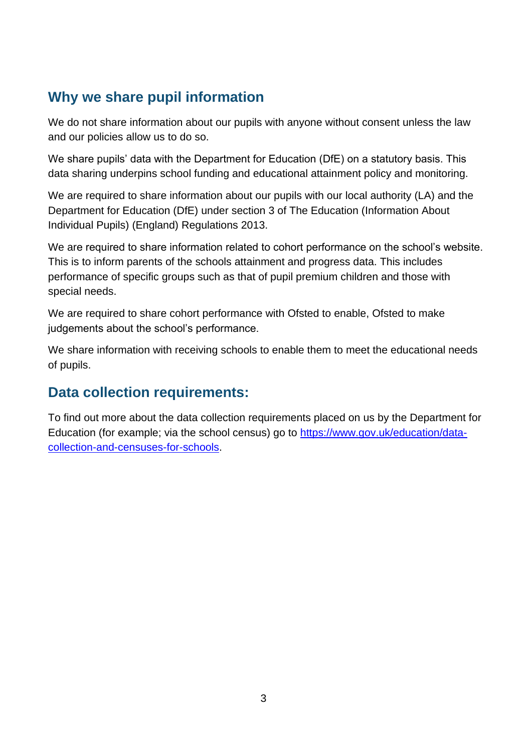### **Why we share pupil information**

We do not share information about our pupils with anyone without consent unless the law and our policies allow us to do so.

We share pupils' data with the Department for Education (DfE) on a statutory basis. This data sharing underpins school funding and educational attainment policy and monitoring.

We are required to share information about our pupils with our local authority (LA) and the Department for Education (DfE) under section 3 of The Education (Information About Individual Pupils) (England) Regulations 2013.

We are required to share information related to cohort performance on the school's website. This is to inform parents of the schools attainment and progress data. This includes performance of specific groups such as that of pupil premium children and those with special needs.

We are required to share cohort performance with Ofsted to enable, Ofsted to make judgements about the school's performance.

We share information with receiving schools to enable them to meet the educational needs of pupils.

#### **Data collection requirements:**

To find out more about the data collection requirements placed on us by the Department for Education (for example; via the school census) go to [https://www.gov.uk/education/data](https://www.gov.uk/education/data-collection-and-censuses-for-schools)[collection-and-censuses-for-schools.](https://www.gov.uk/education/data-collection-and-censuses-for-schools)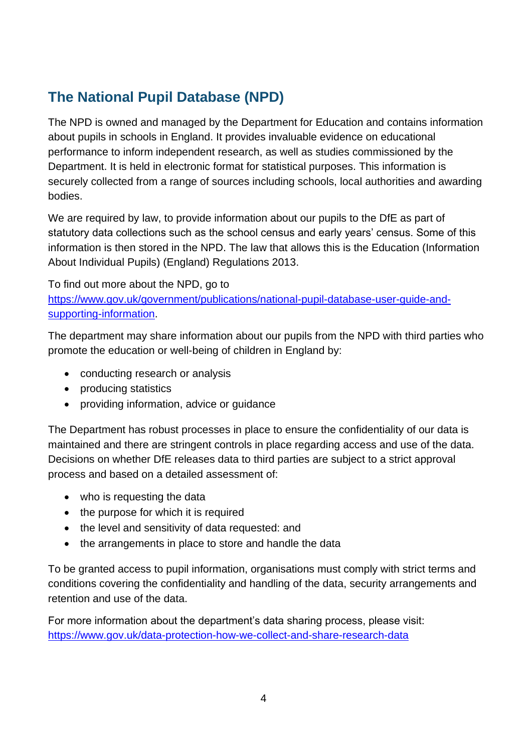## **The National Pupil Database (NPD)**

The NPD is owned and managed by the Department for Education and contains information about pupils in schools in England. It provides invaluable evidence on educational performance to inform independent research, as well as studies commissioned by the Department. It is held in electronic format for statistical purposes. This information is securely collected from a range of sources including schools, local authorities and awarding bodies.

We are required by law, to provide information about our pupils to the DfE as part of statutory data collections such as the school census and early years' census. Some of this information is then stored in the NPD. The law that allows this is the Education (Information About Individual Pupils) (England) Regulations 2013.

To find out more about the NPD, go to [https://www.gov.uk/government/publications/national-pupil-database-user-guide-and](https://www.gov.uk/government/publications/national-pupil-database-user-guide-and-supporting-information)[supporting-information.](https://www.gov.uk/government/publications/national-pupil-database-user-guide-and-supporting-information)

The department may share information about our pupils from the NPD with third parties who promote the education or well-being of children in England by:

- conducting research or analysis
- producing statistics
- providing information, advice or guidance

The Department has robust processes in place to ensure the confidentiality of our data is maintained and there are stringent controls in place regarding access and use of the data. Decisions on whether DfE releases data to third parties are subject to a strict approval process and based on a detailed assessment of:

- who is requesting the data
- the purpose for which it is required
- the level and sensitivity of data requested: and
- the arrangements in place to store and handle the data

To be granted access to pupil information, organisations must comply with strict terms and conditions covering the confidentiality and handling of the data, security arrangements and retention and use of the data.

For more information about the department's data sharing process, please visit: <https://www.gov.uk/data-protection-how-we-collect-and-share-research-data>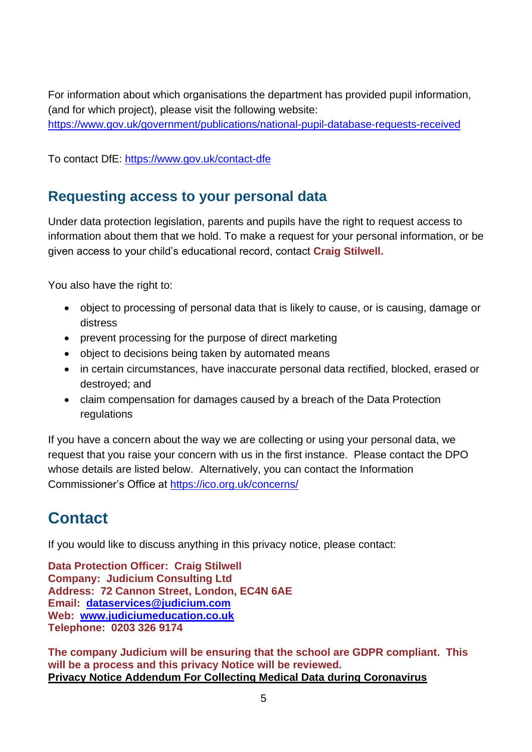For information about which organisations the department has provided pupil information, (and for which project), please visit the following website: <https://www.gov.uk/government/publications/national-pupil-database-requests-received>

To contact DfE:<https://www.gov.uk/contact-dfe>

#### **Requesting access to your personal data**

Under data protection legislation, parents and pupils have the right to request access to information about them that we hold. To make a request for your personal information, or be given access to your child's educational record, contact **Craig Stilwell.**

You also have the right to:

- object to processing of personal data that is likely to cause, or is causing, damage or distress
- prevent processing for the purpose of direct marketing
- object to decisions being taken by automated means
- in certain circumstances, have inaccurate personal data rectified, blocked, erased or destroyed; and
- claim compensation for damages caused by a breach of the Data Protection regulations

If you have a concern about the way we are collecting or using your personal data, we request that you raise your concern with us in the first instance. Please contact the DPO whose details are listed below. Alternatively, you can contact the Information Commissioner's Office at<https://ico.org.uk/concerns/>

# **Contact**

If you would like to discuss anything in this privacy notice, please contact:

**Data Protection Officer: Craig Stilwell Company: Judicium Consulting Ltd Address: 72 Cannon Street, London, EC4N 6AE Email: [dataservices@judicium.com](mailto:dataservices@judicium.com) Web: [www.judiciumeducation.co.uk](http://www.judiciumeducation.co.uk/) Telephone: 0203 326 9174**

**The company Judicium will be ensuring that the school are GDPR compliant. This will be a process and this privacy Notice will be reviewed. Privacy Notice Addendum For Collecting Medical Data during Coronavirus**